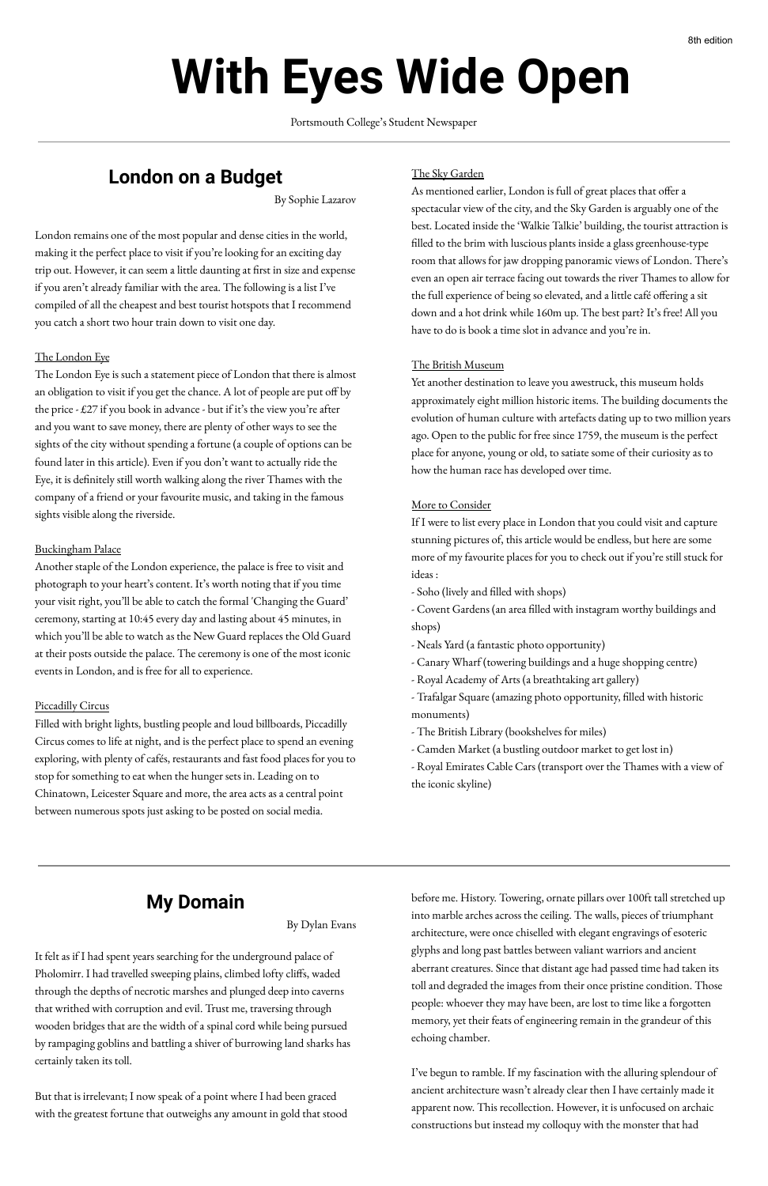# **With Eyes Wide Open**

Portsmouth College's Student Newspaper

## **London on a Budget**

By Sophie Lazarov

London remains one of the most popular and dense cities in the world, making it the perfect place to visit if you're looking for an exciting day trip out. However, it can seem a little daunting at first in size and expense if you aren't already familiar with the area. The following is a list I've compiled of all the cheapest and best tourist hotspots that I recommend you catch a short two hour train down to visit one day.

#### The London Eye

The London Eye is such a statement piece of London that there is almost an obligation to visit if you get the chance. A lot of people are put off by the price - £27 if you book in advance - but if it's the view you're after and you want to save money, there are plenty of other ways to see the sights of the city without spending a fortune (a couple of options can be found later in this article). Even if you don't want to actually ride the Eye, it is definitely still worth walking along the river Thames with the company of a friend or your favourite music, and taking in the famous sights visible along the riverside.

#### Buckingham Palace

Another staple of the London experience, the palace is free to visit and photograph to your heart's content. It's worth noting that if you time your visit right, you'll be able to catch the formal 'Changing the Guard' ceremony, starting at 10:45 every day and lasting about 45 minutes, in which you'll be able to watch as the New Guard replaces the Old Guard at their posts outside the palace. The ceremony is one of the most iconic events in London, and is free for all to experience.

#### Piccadilly Circus

Filled with bright lights, bustling people and loud billboards, Piccadilly Circus comes to life at night, and is the perfect place to spend an evening exploring, with plenty of cafés, restaurants and fast food places for you to stop for something to eat when the hunger sets in. Leading on to Chinatown, Leicester Square and more, the area acts as a central point between numerous spots just asking to be posted on social media.

#### The Sky Garden

As mentioned earlier, London is full of great places that offer a spectacular view of the city, and the Sky Garden is arguably one of the best. Located inside the 'Walkie Talkie' building, the tourist attraction is filled to the brim with luscious plants inside a glass greenhouse-type room that allows for jaw dropping panoramic views of London. There's even an open air terrace facing out towards the river Thames to allow for the full experience of being so elevated, and a little café offering a sit down and a hot drink while 160m up. The best part? It's free! All you have to do is book a time slot in advance and you're in.

#### The British Museum

Yet another destination to leave you awestruck, this museum holds approximately eight million historic items. The building documents the evolution of human culture with artefacts dating up to two million years ago. Open to the public for free since 1759, the museum is the perfect place for anyone, young or old, to satiate some of their curiosity as to how the human race has developed over time.

#### More to Consider

If I were to list every place in London that you could visit and capture stunning pictures of, this article would be endless, but here are some more of my favourite places for you to check out if you're still stuck for ideas :

- Soho (lively and filled with shops)

- Covent Gardens (an area filled with instagram worthy buildings and shops)

- Neals Yard (a fantastic photo opportunity)

- Canary Wharf (towering buildings and a huge shopping centre)

- Royal Academy of Arts (a breathtaking art gallery)

- Trafalgar Square (amazing photo opportunity, filled with historic monuments)

- The British Library (bookshelves for miles)
- Camden Market (a bustling outdoor market to get lost in)

- Royal Emirates Cable Cars (transport over the Thames with a view of the iconic skyline)

# **My Domain**

By Dylan Evans

It felt as if I had spent years searching for the underground palace of Pholomirr. I had travelled sweeping plains, climbed lofty cliffs, waded through the depths of necrotic marshes and plunged deep into caverns that writhed with corruption and evil. Trust me, traversing through wooden bridges that are the width of a spinal cord while being pursued by rampaging goblins and battling a shiver of burrowing land sharks has certainly taken its toll.

But that is irrelevant; I now speak of a point where I had been graced with the greatest fortune that outweighs any amount in gold that stood before me. History. Towering, ornate pillars over 100ft tall stretched up into marble arches across the ceiling. The walls, pieces of triumphant architecture, were once chiselled with elegant engravings of esoteric glyphs and long past battles between valiant warriors and ancient aberrant creatures. Since that distant age had passed time had taken its toll and degraded the images from their once pristine condition. Those people: whoever they may have been, are lost to time like a forgotten memory, yet their feats of engineering remain in the grandeur of this echoing chamber.

I've begun to ramble. If my fascination with the alluring splendour of ancient architecture wasn't already clear then I have certainly made it apparent now. This recollection. However, it is unfocused on archaic constructions but instead my colloquy with the monster that had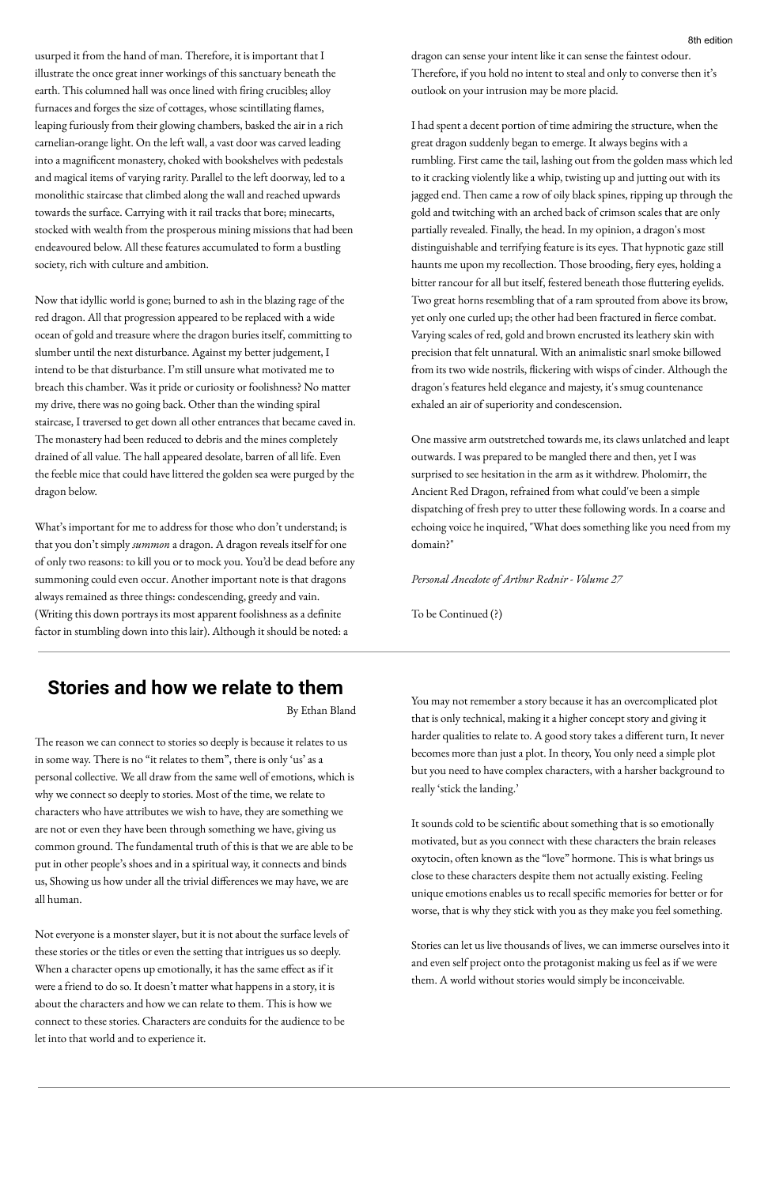usurped it from the hand of man. Therefore, it is important that I illustrate the once great inner workings of this sanctuary beneath the earth. This columned hall was once lined with firing crucibles; alloy furnaces and forges the size of cottages, whose scintillating flames, leaping furiously from their glowing chambers, basked the air in a rich carnelian-orange light. On the left wall, a vast door was carved leading into a magnificent monastery, choked with bookshelves with pedestals and magical items of varying rarity. Parallel to the left doorway, led to a monolithic staircase that climbed along the wall and reached upwards towards the surface. Carrying with it rail tracks that bore; minecarts, stocked with wealth from the prosperous mining missions that had been endeavoured below. All these features accumulated to form a bustling society, rich with culture and ambition.

Now that idyllic world is gone; burned to ash in the blazing rage of the red dragon. All that progression appeared to be replaced with a wide ocean of gold and treasure where the dragon buries itself, committing to slumber until the next disturbance. Against my better judgement, I intend to be that disturbance. I'm still unsure what motivated me to breach this chamber. Was it pride or curiosity or foolishness? No matter my drive, there was no going back. Other than the winding spiral staircase, I traversed to get down all other entrances that became caved in. The monastery had been reduced to debris and the mines completely drained of all value. The hall appeared desolate, barren of all life. Even the feeble mice that could have littered the golden sea were purged by the dragon below.

What's important for me to address for those who don't understand; is that you don't simply *summon* a dragon. A dragon reveals itself for one of only two reasons: to kill you or to mock you. You'd be dead before any summoning could even occur. Another important note is that dragons always remained as three things: condescending, greedy and vain. (Writing this down portrays its most apparent foolishness as a definite factor in stumbling down into this lair). Although it should be noted: a

dragon can sense your intent like it can sense the faintest odour. Therefore, if you hold no intent to steal and only to converse then it's outlook on your intrusion may be more placid.

I had spent a decent portion of time admiring the structure, when the great dragon suddenly began to emerge. It always begins with a rumbling. First came the tail, lashing out from the golden mass which led to it cracking violently like a whip, twisting up and jutting out with its jagged end. Then came a row of oily black spines, ripping up through the gold and twitching with an arched back of crimson scales that are only partially revealed. Finally, the head. In my opinion, a dragon's most distinguishable and terrifying feature is its eyes. That hypnotic gaze still haunts me upon my recollection. Those brooding, fiery eyes, holding a bitter rancour for all but itself, festered beneath those fluttering eyelids. Two great horns resembling that of a ram sprouted from above its brow, yet only one curled up; the other had been fractured in fierce combat. Varying scales of red, gold and brown encrusted its leathery skin with precision that felt unnatural. With an animalistic snarl smoke billowed from its two wide nostrils, flickering with wisps of cinder. Although the dragon's features held elegance and majesty, it's smug countenance exhaled an air of superiority and condescension.

One massive arm outstretched towards me, its claws unlatched and leapt outwards. I was prepared to be mangled there and then, yet I was surprised to see hesitation in the arm as it withdrew. Pholomirr, the Ancient Red Dragon, refrained from what could've been a simple dispatching of fresh prey to utter these following words. In a coarse and echoing voice he inquired, "What does something like you need from my domain?"

*Personal Anecdote of Arthur Rednir - Volume 27*

To be Continued (?)

### **Stories and how we relate to them**

By Ethan Bland

The reason we can connect to stories so deeply is because it relates to us in some way. There is no "it relates to them", there is only 'us' as a personal collective. We all draw from the same well of emotions, which is why we connect so deeply to stories. Most of the time, we relate to characters who have attributes we wish to have, they are something we are not or even they have been through something we have, giving us common ground. The fundamental truth of this is that we are able to be put in other people's shoes and in a spiritual way, it connects and binds

us, Showing us how under all the trivial differences we may have, we are all human.

Not everyone is a monster slayer, but it is not about the surface levels of these stories or the titles or even the setting that intrigues us so deeply. When a character opens up emotionally, it has the same effect as if it were a friend to do so. It doesn't matter what happens in a story, it is about the characters and how we can relate to them. This is how we connect to these stories. Characters are conduits for the audience to be let into that world and to experience it.

You may not remember a story because it has an overcomplicated plot that is only technical, making it a higher concept story and giving it harder qualities to relate to. A good story takes a different turn, It never becomes more than just a plot. In theory, You only need a simple plot but you need to have complex characters, with a harsher background to really 'stick the landing.'

It sounds cold to be scientific about something that is so emotionally motivated, but as you connect with these characters the brain releases oxytocin, often known as the "love" hormone. This is what brings us close to these characters despite them not actually existing. Feeling unique emotions enables us to recall specific memories for better or for worse, that is why they stick with you as they make you feel something.

Stories can let us live thousands of lives, we can immerse ourselves into it and even self project onto the protagonist making us feel as if we were them. A world without stories would simply be inconceivable.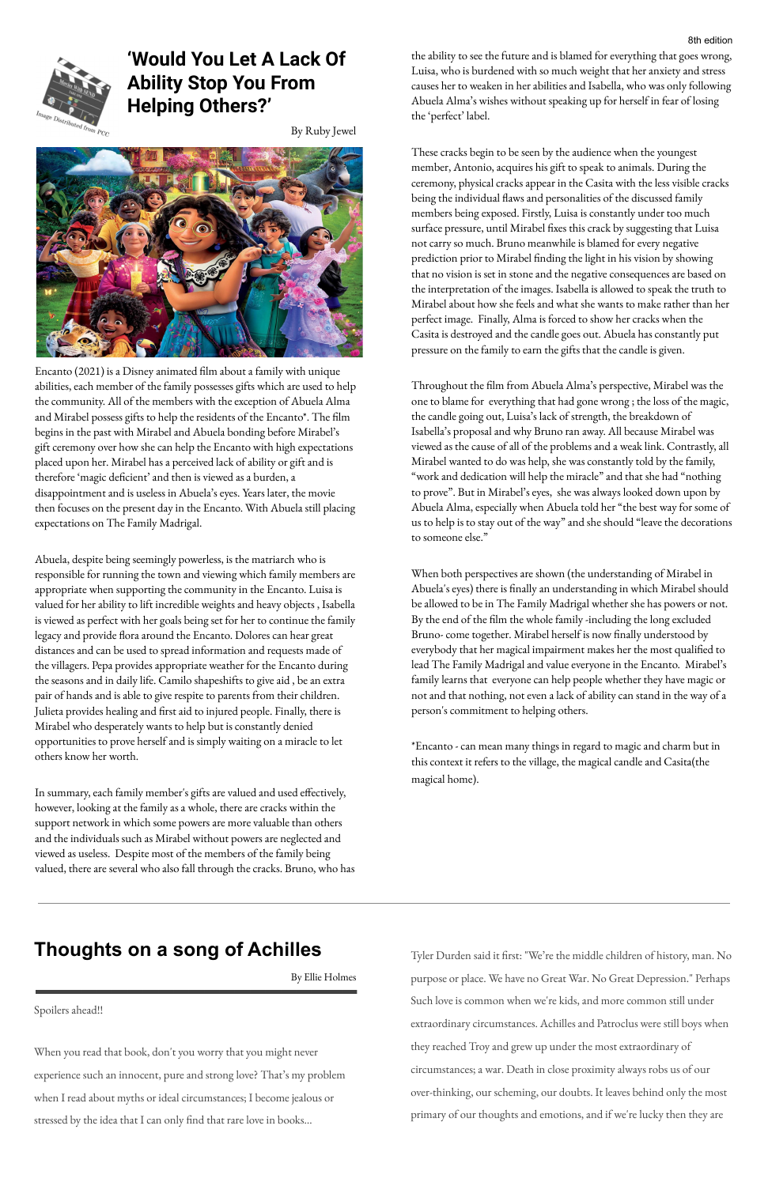

# **'Would You Let A Lack Of Ability Stop You From Helping Others?'**

By Ruby Jewel



Encanto (2021) is a Disney animated film about a family with unique abilities, each member of the family possesses gifts which are used to help the community. All of the members with the exception of Abuela Alma and Mirabel possess gifts to help the residents of the Encanto\*. The film begins in the past with Mirabel and Abuela bonding before Mirabel's gift ceremony over how she can help the Encanto with high expectations placed upon her. Mirabel has a perceived lack of ability or gift and is therefore 'magic deficient' and then is viewed as a burden, a disappointment and is useless in Abuela's eyes. Years later, the movie then focuses on the present day in the Encanto. With Abuela still placing expectations on The Family Madrigal.

Abuela, despite being seemingly powerless, is the matriarch who is responsible for running the town and viewing which family members are appropriate when supporting the community in the Encanto. Luisa is valued for her ability to lift incredible weights and heavy objects , Isabella is viewed as perfect with her goals being set for her to continue the family legacy and provide flora around the Encanto. Dolores can hear great distances and can be used to spread information and requests made of the villagers. Pepa provides appropriate weather for the Encanto during the seasons and in daily life. Camilo shapeshifts to give aid , be an extra pair of hands and is able to give respite to parents from their children. Julieta provides healing and first aid to injured people. Finally, there is Mirabel who desperately wants to help but is constantly denied opportunities to prove herself and is simply waiting on a miracle to let others know her worth.

In summary, each family member's gifts are valued and used effectively, however, looking at the family as a whole, there are cracks within the support network in which some powers are more valuable than others and the individuals such as Mirabel without powers are neglected and viewed as useless. Despite most of the members of the family being valued, there are several who also fall through the cracks. Bruno, who has the ability to see the future and is blamed for everything that goes wrong, Luisa, who is burdened with so much weight that her anxiety and stress causes her to weaken in her abilities and Isabella, who was only following Abuela Alma's wishes without speaking up for herself in fear of losing the 'perfect' label.

These cracks begin to be seen by the audience when the youngest member, Antonio, acquires his gift to speak to animals. During the ceremony, physical cracks appear in the Casita with the less visible cracks being the individual flaws and personalities of the discussed family members being exposed. Firstly, Luisa is constantly under too much surface pressure, until Mirabel fixes this crack by suggesting that Luisa not carry so much. Bruno meanwhile is blamed for every negative prediction prior to Mirabel finding the light in his vision by showing that no vision is set in stone and the negative consequences are based on the interpretation of the images. Isabella is allowed to speak the truth to Mirabel about how she feels and what she wants to make rather than her perfect image. Finally, Alma is forced to show her cracks when the Casita is destroyed and the candle goes out. Abuela has constantly put pressure on the family to earn the gifts that the candle is given.

Throughout the film from Abuela Alma's perspective, Mirabel was the one to blame for everything that had gone wrong ; the loss of the magic, the candle going out, Luisa's lack of strength, the breakdown of Isabella's proposal and why Bruno ran away. All because Mirabel was viewed as the cause of all of the problems and a weak link. Contrastly, all Mirabel wanted to do was help, she was constantly told by the family, "work and dedication will help the miracle" and that she had "nothing to prove". But in Mirabel's eyes, she was always looked down upon by Abuela Alma, especially when Abuela told her "the best way for some of us to help is to stay out of the way" and she should "leave the decorations to someone else."

When both perspectives are shown (the understanding of Mirabel in Abuela's eyes) there is finally an understanding in which Mirabel should be allowed to be in The Family Madrigal whether she has powers or not. By the end of the film the whole family -including the long excluded Bruno- come together. Mirabel herself is now finally understood by everybody that her magical impairment makes her the most qualified to lead The Family Madrigal and value everyone in the Encanto. Mirabel's family learns that everyone can help people whether they have magic or not and that nothing, not even a lack of ability can stand in the way of a person's commitment to helping others.

\*Encanto - can mean many things in regard to magic and charm but in this context it refers to the village, the magical candle and Casita(the magical home).

## **Thoughts on a song of Achilles**

By Ellie Holmes

Spoilers ahead!!

When you read that book, don't you worry that you might never experience such an innocent, pure and strong love? That's my problem when I read about myths or ideal circumstances; I become jealous or stressed by the idea that I can only find that rare love in books…

Tyler Durden said it first: "We're the middle children of history, man. No purpose or place. We have no Great War. No Great Depression." Perhaps Such love is common when we're kids, and more common still under extraordinary circumstances. Achilles and Patroclus were still boys when they reached Troy and grew up under the most extraordinary of circumstances; a war. Death in close proximity always robs us of our over-thinking, our scheming, our doubts. It leaves behind only the most primary of our thoughts and emotions, and if we're lucky then they are